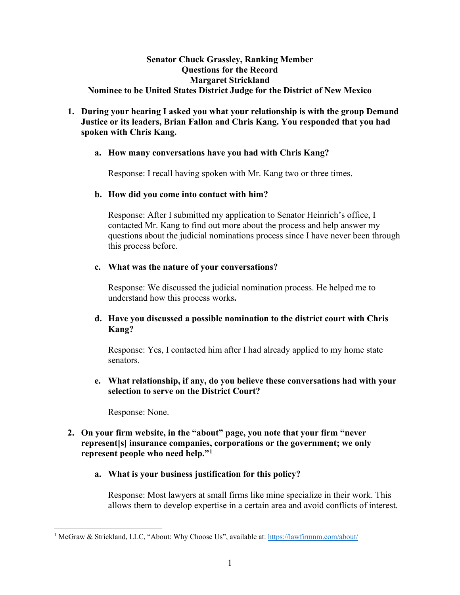### **Senator Chuck Grassley, Ranking Member Questions for the Record Margaret Strickland Nominee to be United States District Judge for the District of New Mexico**

# **1. During your hearing I asked you what your relationship is with the group Demand Justice or its leaders, Brian Fallon and Chris Kang. You responded that you had spoken with Chris Kang.**

### **a. How many conversations have you had with Chris Kang?**

Response: I recall having spoken with Mr. Kang two or three times.

### **b. How did you come into contact with him?**

Response: After I submitted my application to Senator Heinrich's office, I contacted Mr. Kang to find out more about the process and help answer my questions about the judicial nominations process since I have never been through this process before.

### **c. What was the nature of your conversations?**

Response: We discussed the judicial nomination process. He helped me to understand how this process works**.**

# **d. Have you discussed a possible nomination to the district court with Chris Kang?**

Response: Yes, I contacted him after I had already applied to my home state senators.

# **e. What relationship, if any, do you believe these conversations had with your selection to serve on the District Court?**

Response: None.

# **2. On your firm website, in the "about" page, you note that your firm "never represent[s] insurance companies, corporations or the government; we only represent people who need help."[1](#page-0-0)**

# **a. What is your business justification for this policy?**

Response: Most lawyers at small firms like mine specialize in their work. This allows them to develop expertise in a certain area and avoid conflicts of interest.

<span id="page-0-0"></span><sup>&</sup>lt;sup>1</sup> McGraw & Strickland, LLC, "About: Why Choose Us", available at:<https://lawfirmnm.com/about/>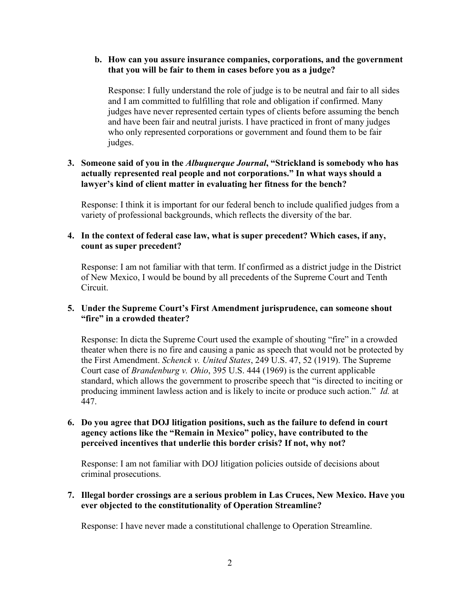### **b. How can you assure insurance companies, corporations, and the government that you will be fair to them in cases before you as a judge?**

Response: I fully understand the role of judge is to be neutral and fair to all sides and I am committed to fulfilling that role and obligation if confirmed. Many judges have never represented certain types of clients before assuming the bench and have been fair and neutral jurists. I have practiced in front of many judges who only represented corporations or government and found them to be fair judges.

# **3. Someone said of you in the** *Albuquerque Journal***, "Strickland is somebody who has actually represented real people and not corporations." In what ways should a lawyer's kind of client matter in evaluating her fitness for the bench?**

Response: I think it is important for our federal bench to include qualified judges from a variety of professional backgrounds, which reflects the diversity of the bar.

### **4. In the context of federal case law, what is super precedent? Which cases, if any, count as super precedent?**

Response: I am not familiar with that term. If confirmed as a district judge in the District of New Mexico, I would be bound by all precedents of the Supreme Court and Tenth Circuit.

# **5. Under the Supreme Court's First Amendment jurisprudence, can someone shout "fire" in a crowded theater?**

Response: In dicta the Supreme Court used the example of shouting "fire" in a crowded theater when there is no fire and causing a panic as speech that would not be protected by the First Amendment. *Schenck v. United States*, 249 U.S. 47, 52 (1919). The Supreme Court case of *Brandenburg v. Ohio*, 395 U.S. 444 (1969) is the current applicable standard, which allows the government to proscribe speech that "is directed to inciting or producing imminent lawless action and is likely to incite or produce such action." *Id.* at 447.

## **6. Do you agree that DOJ litigation positions, such as the failure to defend in court agency actions like the "Remain in Mexico" policy, have contributed to the perceived incentives that underlie this border crisis? If not, why not?**

Response: I am not familiar with DOJ litigation policies outside of decisions about criminal prosecutions.

### **7. Illegal border crossings are a serious problem in Las Cruces, New Mexico. Have you ever objected to the constitutionality of Operation Streamline?**

Response: I have never made a constitutional challenge to Operation Streamline.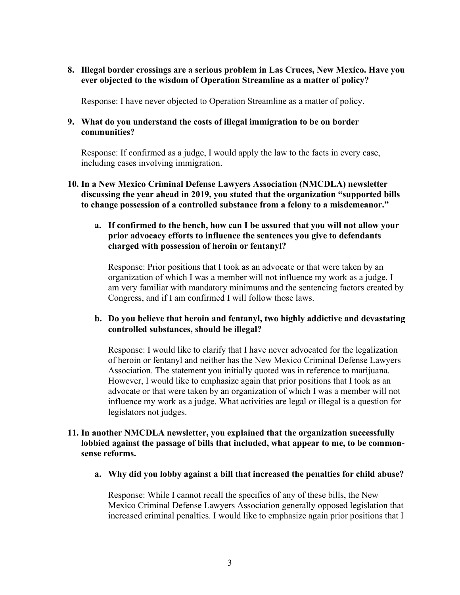**8. Illegal border crossings are a serious problem in Las Cruces, New Mexico. Have you ever objected to the wisdom of Operation Streamline as a matter of policy?**

Response: I have never objected to Operation Streamline as a matter of policy.

### **9. What do you understand the costs of illegal immigration to be on border communities?**

Response: If confirmed as a judge, I would apply the law to the facts in every case, including cases involving immigration.

**10. In a New Mexico Criminal Defense Lawyers Association (NMCDLA) newsletter discussing the year ahead in 2019, you stated that the organization "supported bills to change possession of a controlled substance from a felony to a misdemeanor."**

## **a. If confirmed to the bench, how can I be assured that you will not allow your prior advocacy efforts to influence the sentences you give to defendants charged with possession of heroin or fentanyl?**

Response: Prior positions that I took as an advocate or that were taken by an organization of which I was a member will not influence my work as a judge. I am very familiar with mandatory minimums and the sentencing factors created by Congress, and if I am confirmed I will follow those laws.

### **b. Do you believe that heroin and fentanyl, two highly addictive and devastating controlled substances, should be illegal?**

Response: I would like to clarify that I have never advocated for the legalization of heroin or fentanyl and neither has the New Mexico Criminal Defense Lawyers Association. The statement you initially quoted was in reference to marijuana. However, I would like to emphasize again that prior positions that I took as an advocate or that were taken by an organization of which I was a member will not influence my work as a judge. What activities are legal or illegal is a question for legislators not judges.

### **11. In another NMCDLA newsletter, you explained that the organization successfully lobbied against the passage of bills that included, what appear to me, to be commonsense reforms.**

**a. Why did you lobby against a bill that increased the penalties for child abuse?**

Response: While I cannot recall the specifics of any of these bills, the New Mexico Criminal Defense Lawyers Association generally opposed legislation that increased criminal penalties. I would like to emphasize again prior positions that I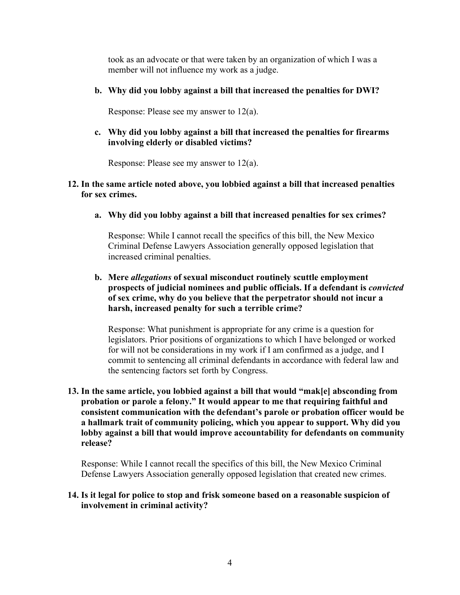took as an advocate or that were taken by an organization of which I was a member will not influence my work as a judge.

**b. Why did you lobby against a bill that increased the penalties for DWI?**

Response: Please see my answer to 12(a).

**c. Why did you lobby against a bill that increased the penalties for firearms involving elderly or disabled victims?**

Response: Please see my answer to 12(a).

### **12. In the same article noted above, you lobbied against a bill that increased penalties for sex crimes.**

**a. Why did you lobby against a bill that increased penalties for sex crimes?**

Response: While I cannot recall the specifics of this bill, the New Mexico Criminal Defense Lawyers Association generally opposed legislation that increased criminal penalties.

### **b. Mere** *allegations* **of sexual misconduct routinely scuttle employment prospects of judicial nominees and public officials. If a defendant is** *convicted* **of sex crime, why do you believe that the perpetrator should not incur a harsh, increased penalty for such a terrible crime?**

Response: What punishment is appropriate for any crime is a question for legislators. Prior positions of organizations to which I have belonged or worked for will not be considerations in my work if I am confirmed as a judge, and I commit to sentencing all criminal defendants in accordance with federal law and the sentencing factors set forth by Congress.

**13. In the same article, you lobbied against a bill that would "mak[e] absconding from probation or parole a felony." It would appear to me that requiring faithful and consistent communication with the defendant's parole or probation officer would be a hallmark trait of community policing, which you appear to support. Why did you lobby against a bill that would improve accountability for defendants on community release?**

Response: While I cannot recall the specifics of this bill, the New Mexico Criminal Defense Lawyers Association generally opposed legislation that created new crimes.

#### **14. Is it legal for police to stop and frisk someone based on a reasonable suspicion of involvement in criminal activity?**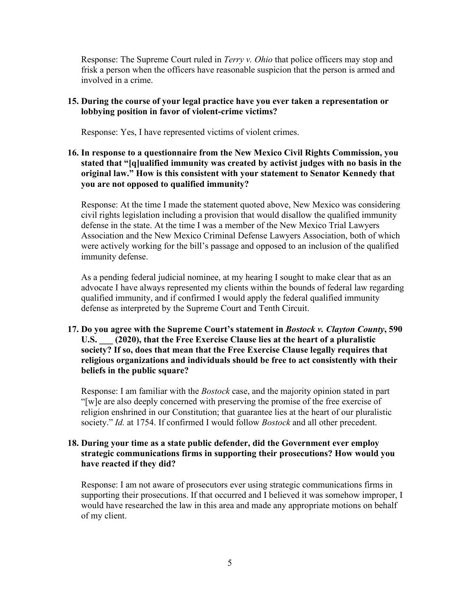Response: The Supreme Court ruled in *Terry v. Ohio* that police officers may stop and frisk a person when the officers have reasonable suspicion that the person is armed and involved in a crime.

## **15. During the course of your legal practice have you ever taken a representation or lobbying position in favor of violent-crime victims?**

Response: Yes, I have represented victims of violent crimes.

## **16. In response to a questionnaire from the New Mexico Civil Rights Commission, you stated that "[q]ualified immunity was created by activist judges with no basis in the original law." How is this consistent with your statement to Senator Kennedy that you are not opposed to qualified immunity?**

Response: At the time I made the statement quoted above, New Mexico was considering civil rights legislation including a provision that would disallow the qualified immunity defense in the state. At the time I was a member of the New Mexico Trial Lawyers Association and the New Mexico Criminal Defense Lawyers Association, both of which were actively working for the bill's passage and opposed to an inclusion of the qualified immunity defense.

As a pending federal judicial nominee, at my hearing I sought to make clear that as an advocate I have always represented my clients within the bounds of federal law regarding qualified immunity, and if confirmed I would apply the federal qualified immunity defense as interpreted by the Supreme Court and Tenth Circuit.

# **17. Do you agree with the Supreme Court's statement in** *Bostock v. Clayton County***, 590 U.S. \_\_\_ (2020), that the Free Exercise Clause lies at the heart of a pluralistic society? If so, does that mean that the Free Exercise Clause legally requires that religious organizations and individuals should be free to act consistently with their beliefs in the public square?**

Response: I am familiar with the *Bostock* case, and the majority opinion stated in part "[w]e are also deeply concerned with preserving the promise of the free exercise of religion enshrined in our Constitution; that guarantee lies at the heart of our pluralistic society." *Id.* at 1754. If confirmed I would follow *Bostock* and all other precedent.

### **18. During your time as a state public defender, did the Government ever employ strategic communications firms in supporting their prosecutions? How would you have reacted if they did?**

Response: I am not aware of prosecutors ever using strategic communications firms in supporting their prosecutions. If that occurred and I believed it was somehow improper, I would have researched the law in this area and made any appropriate motions on behalf of my client.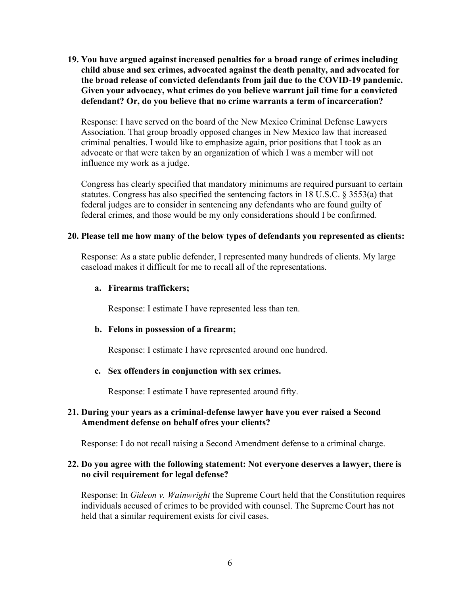**19. You have argued against increased penalties for a broad range of crimes including child abuse and sex crimes, advocated against the death penalty, and advocated for the broad release of convicted defendants from jail due to the COVID-19 pandemic. Given your advocacy, what crimes do you believe warrant jail time for a convicted defendant? Or, do you believe that no crime warrants a term of incarceration?**

Response: I have served on the board of the New Mexico Criminal Defense Lawyers Association. That group broadly opposed changes in New Mexico law that increased criminal penalties. I would like to emphasize again, prior positions that I took as an advocate or that were taken by an organization of which I was a member will not influence my work as a judge.

Congress has clearly specified that mandatory minimums are required pursuant to certain statutes. Congress has also specified the sentencing factors in 18 U.S.C. § 3553(a) that federal judges are to consider in sentencing any defendants who are found guilty of federal crimes, and those would be my only considerations should I be confirmed.

### **20. Please tell me how many of the below types of defendants you represented as clients:**

Response: As a state public defender, I represented many hundreds of clients. My large caseload makes it difficult for me to recall all of the representations.

#### **a. Firearms traffickers;**

Response: I estimate I have represented less than ten.

### **b. Felons in possession of a firearm;**

Response: I estimate I have represented around one hundred.

#### **c. Sex offenders in conjunction with sex crimes.**

Response: I estimate I have represented around fifty.

### **21. During your years as a criminal-defense lawyer have you ever raised a Second Amendment defense on behalf ofres your clients?**

Response: I do not recall raising a Second Amendment defense to a criminal charge.

### **22. Do you agree with the following statement: Not everyone deserves a lawyer, there is no civil requirement for legal defense?**

Response: In *Gideon v. Wainwright* the Supreme Court held that the Constitution requires individuals accused of crimes to be provided with counsel. The Supreme Court has not held that a similar requirement exists for civil cases.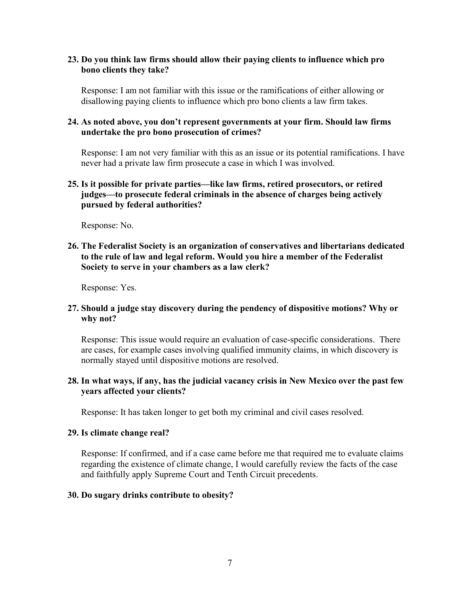### **23. Do you think law firms should allow their paying clients to influence which pro bono clients they take?**

Response: I am not familiar with this issue or the ramifications of either allowing or disallowing paying clients to influence which pro bono clients a law firm takes.

### **24. As noted above, you don't represent governments at your firm. Should law firms undertake the pro bono prosecution of crimes?**

Response: I am not very familiar with this as an issue or its potential ramifications. I have never had a private law firm prosecute a case in which I was involved.

### **25. Is it possible for private parties—like law firms, retired prosecutors, or retired judges—to prosecute federal criminals in the absence of charges being actively pursued by federal authorities?**

Response: No.

## **26. The Federalist Society is an organization of conservatives and libertarians dedicated to the rule of law and legal reform. Would you hire a member of the Federalist Society to serve in your chambers as a law clerk?**

Response: Yes.

# **27. Should a judge stay discovery during the pendency of dispositive motions? Why or why not?**

Response: This issue would require an evaluation of case-specific considerations. There are cases, for example cases involving qualified immunity claims, in which discovery is normally stayed until dispositive motions are resolved.

# **28. In what ways, if any, has the judicial vacancy crisis in New Mexico over the past few years affected your clients?**

Response: It has taken longer to get both my criminal and civil cases resolved.

### **29. Is climate change real?**

Response: If confirmed, and if a case came before me that required me to evaluate claims regarding the existence of climate change, I would carefully review the facts of the case and faithfully apply Supreme Court and Tenth Circuit precedents.

### **30. Do sugary drinks contribute to obesity?**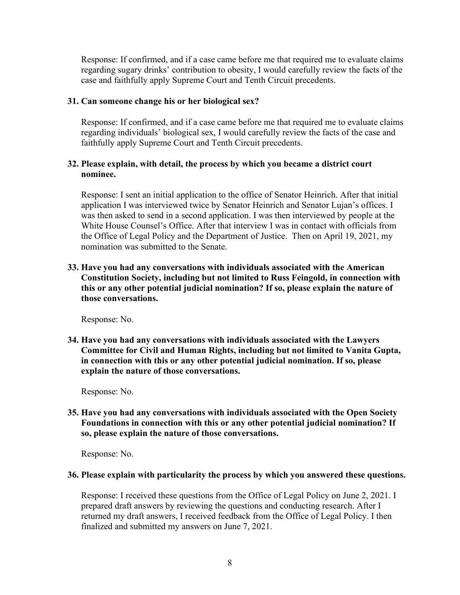Response: If confirmed, and if a case came before me that required me to evaluate claims regarding sugary drinks' contribution to obesity, I would carefully review the facts of the case and faithfully apply Supreme Court and Tenth Circuit precedents.

### **31. Can someone change his or her biological sex?**

Response: If confirmed, and if a case came before me that required me to evaluate claims regarding individuals' biological sex, I would carefully review the facts of the case and faithfully apply Supreme Court and Tenth Circuit precedents.

## **32. Please explain, with detail, the process by which you became a district court nominee.**

Response: I sent an initial application to the office of Senator Heinrich. After that initial application I was interviewed twice by Senator Heinrich and Senator Lujan's offices. I was then asked to send in a second application. I was then interviewed by people at the White House Counsel's Office. After that interview I was in contact with officials from the Office of Legal Policy and the Department of Justice. Then on April 19, 2021, my nomination was submitted to the Senate.

**33. Have you had any conversations with individuals associated with the American Constitution Society, including but not limited to Russ Feingold, in connection with this or any other potential judicial nomination? If so, please explain the nature of those conversations.**

Response: No.

**34. Have you had any conversations with individuals associated with the Lawyers Committee for Civil and Human Rights, including but not limited to Vanita Gupta, in connection with this or any other potential judicial nomination. If so, please explain the nature of those conversations.** 

Response: No.

**35. Have you had any conversations with individuals associated with the Open Society Foundations in connection with this or any other potential judicial nomination? If so, please explain the nature of those conversations.**

Response: No.

### **36. Please explain with particularity the process by which you answered these questions.**

Response: I received these questions from the Office of Legal Policy on June 2, 2021. I prepared draft answers by reviewing the questions and conducting research. After I returned my draft answers, I received feedback from the Office of Legal Policy. I then finalized and submitted my answers on June 7, 2021.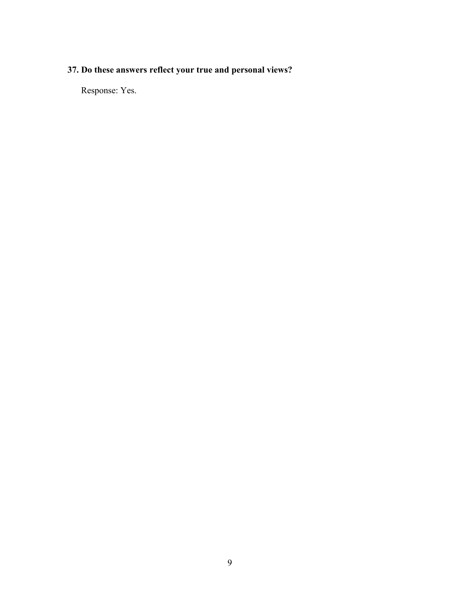# **37. Do these answers reflect your true and personal views?**

Response: Yes.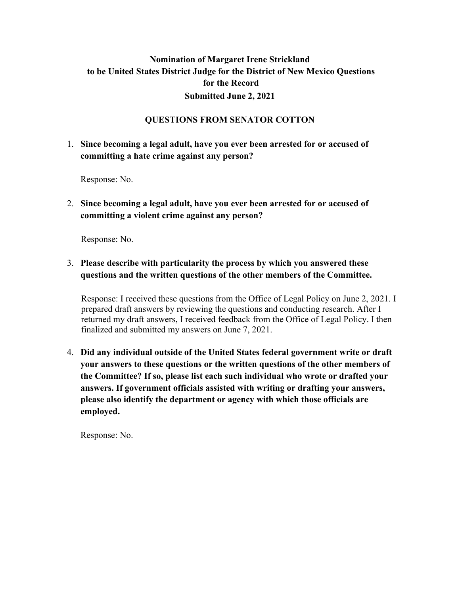# **Nomination of Margaret Irene Strickland to be United States District Judge for the District of New Mexico Questions for the Record Submitted June 2, 2021**

# **QUESTIONS FROM SENATOR COTTON**

# 1. **Since becoming a legal adult, have you ever been arrested for or accused of committing a hate crime against any person?**

Response: No.

2. **Since becoming a legal adult, have you ever been arrested for or accused of committing a violent crime against any person?** 

Response: No.

# 3. **Please describe with particularity the process by which you answered these questions and the written questions of the other members of the Committee.**

Response: I received these questions from the Office of Legal Policy on June 2, 2021. I prepared draft answers by reviewing the questions and conducting research. After I returned my draft answers, I received feedback from the Office of Legal Policy. I then finalized and submitted my answers on June 7, 2021.

4. **Did any individual outside of the United States federal government write or draft your answers to these questions or the written questions of the other members of the Committee? If so, please list each such individual who wrote or drafted your answers. If government officials assisted with writing or drafting your answers, please also identify the department or agency with which those officials are employed.**

Response: No.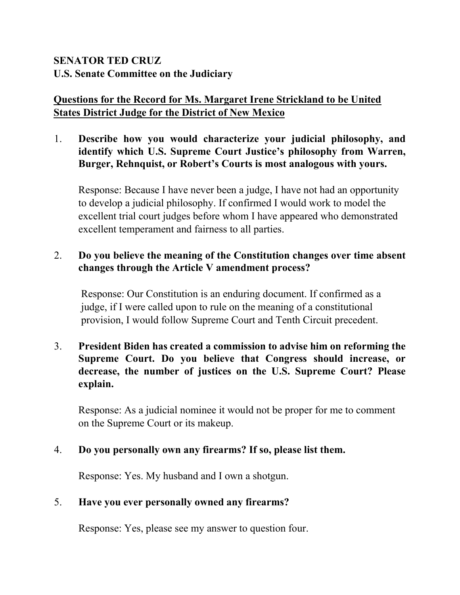# **SENATOR TED CRUZ U.S. Senate Committee on the Judiciary**

# **Questions for the Record for Ms. Margaret Irene Strickland to be United States District Judge for the District of New Mexico**

1. **Describe how you would characterize your judicial philosophy, and identify which U.S. Supreme Court Justice's philosophy from Warren, Burger, Rehnquist, or Robert's Courts is most analogous with yours.** 

Response: Because I have never been a judge, I have not had an opportunity to develop a judicial philosophy. If confirmed I would work to model the excellent trial court judges before whom I have appeared who demonstrated excellent temperament and fairness to all parties.

# 2. **Do you believe the meaning of the Constitution changes over time absent changes through the Article V amendment process?**

Response: Our Constitution is an enduring document. If confirmed as a judge, if I were called upon to rule on the meaning of a constitutional provision, I would follow Supreme Court and Tenth Circuit precedent.

3. **President Biden has created a commission to advise him on reforming the Supreme Court. Do you believe that Congress should increase, or decrease, the number of justices on the U.S. Supreme Court? Please explain.** 

Response: As a judicial nominee it would not be proper for me to comment on the Supreme Court or its makeup.

# 4. **Do you personally own any firearms? If so, please list them.**

Response: Yes. My husband and I own a shotgun.

# 5. **Have you ever personally owned any firearms?**

Response: Yes, please see my answer to question four.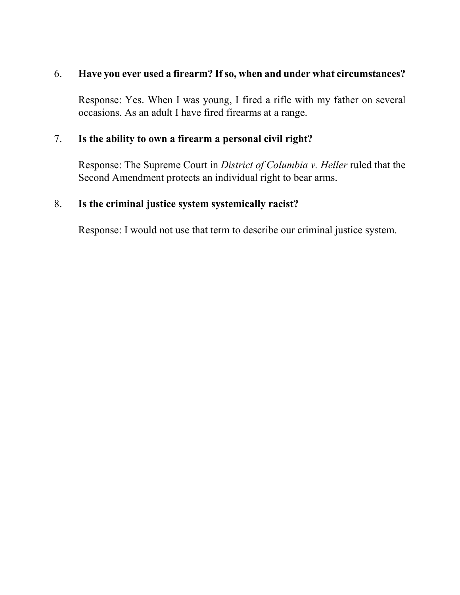# 6. **Have you ever used a firearm? If so, when and under what circumstances?**

Response: Yes. When I was young, I fired a rifle with my father on several occasions. As an adult I have fired firearms at a range.

# 7. **Is the ability to own a firearm a personal civil right?**

Response: The Supreme Court in *District of Columbia v. Heller* ruled that the Second Amendment protects an individual right to bear arms.

# 8. **Is the criminal justice system systemically racist?**

Response: I would not use that term to describe our criminal justice system.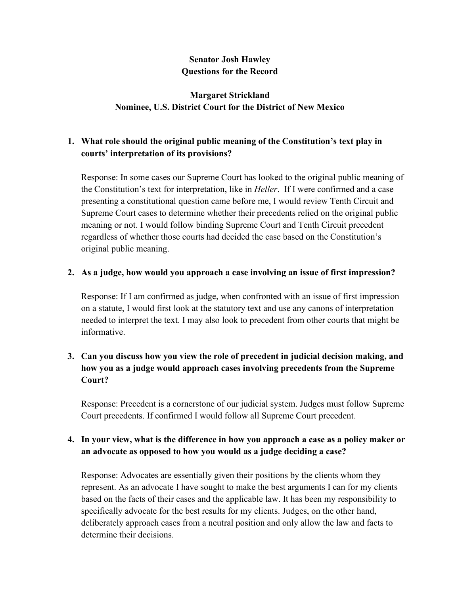# **Senator Josh Hawley Questions for the Record**

# **Margaret Strickland Nominee, U.S. District Court for the District of New Mexico**

# **1. What role should the original public meaning of the Constitution's text play in courts' interpretation of its provisions?**

Response: In some cases our Supreme Court has looked to the original public meaning of the Constitution's text for interpretation, like in *Heller*. If I were confirmed and a case presenting a constitutional question came before me, I would review Tenth Circuit and Supreme Court cases to determine whether their precedents relied on the original public meaning or not. I would follow binding Supreme Court and Tenth Circuit precedent regardless of whether those courts had decided the case based on the Constitution's original public meaning.

# **2. As a judge, how would you approach a case involving an issue of first impression?**

Response: If I am confirmed as judge, when confronted with an issue of first impression on a statute, I would first look at the statutory text and use any canons of interpretation needed to interpret the text. I may also look to precedent from other courts that might be informative.

# **3. Can you discuss how you view the role of precedent in judicial decision making, and how you as a judge would approach cases involving precedents from the Supreme Court?**

Response: Precedent is a cornerstone of our judicial system. Judges must follow Supreme Court precedents. If confirmed I would follow all Supreme Court precedent.

# **4. In your view, what is the difference in how you approach a case as a policy maker or an advocate as opposed to how you would as a judge deciding a case?**

Response: Advocates are essentially given their positions by the clients whom they represent. As an advocate I have sought to make the best arguments I can for my clients based on the facts of their cases and the applicable law. It has been my responsibility to specifically advocate for the best results for my clients. Judges, on the other hand, deliberately approach cases from a neutral position and only allow the law and facts to determine their decisions.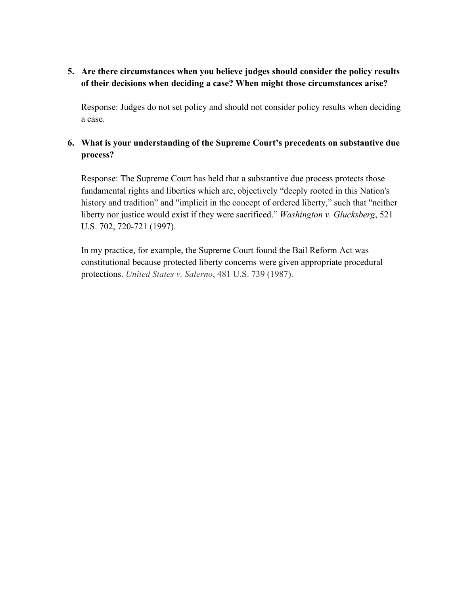# **5. Are there circumstances when you believe judges should consider the policy results of their decisions when deciding a case? When might those circumstances arise?**

Response: Judges do not set policy and should not consider policy results when deciding a case.

# **6. What is your understanding of the Supreme Court's precedents on substantive due process?**

Response: The Supreme Court has held that a substantive due process protects those fundamental rights and liberties which are, objectively "deeply rooted in this Nation's history and tradition" and "implicit in the concept of ordered liberty," such that "neither liberty nor justice would exist if they were sacrificed." *Washington v. Glucksberg*, 521 U.S. 702, 720-721 (1997).

In my practice, for example, the Supreme Court found the Bail Reform Act was constitutional because protected liberty concerns were given appropriate procedural protections. *United States v. Salerno*, 481 U.S. 739 (1987).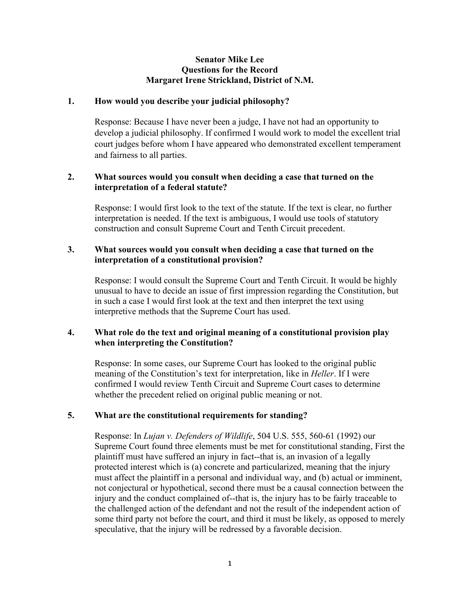### **Senator Mike Lee Questions for the Record Margaret Irene Strickland, District of N.M.**

### **1. How would you describe your judicial philosophy?**

Response: Because I have never been a judge, I have not had an opportunity to develop a judicial philosophy. If confirmed I would work to model the excellent trial court judges before whom I have appeared who demonstrated excellent temperament and fairness to all parties.

### **2. What sources would you consult when deciding a case that turned on the interpretation of a federal statute?**

Response: I would first look to the text of the statute. If the text is clear, no further interpretation is needed. If the text is ambiguous, I would use tools of statutory construction and consult Supreme Court and Tenth Circuit precedent.

### **3. What sources would you consult when deciding a case that turned on the interpretation of a constitutional provision?**

Response: I would consult the Supreme Court and Tenth Circuit. It would be highly unusual to have to decide an issue of first impression regarding the Constitution, but in such a case I would first look at the text and then interpret the text using interpretive methods that the Supreme Court has used.

### **4. What role do the text and original meaning of a constitutional provision play when interpreting the Constitution?**

Response: In some cases, our Supreme Court has looked to the original public meaning of the Constitution's text for interpretation, like in *Heller*. If I were confirmed I would review Tenth Circuit and Supreme Court cases to determine whether the precedent relied on original public meaning or not.

### **5. What are the constitutional requirements for standing?**

Response: In *Lujan v. Defenders of Wildlife*, 504 U.S. 555, 560-61 (1992) our Supreme Court found three elements must be met for constitutional standing, First the plaintiff must have suffered an injury in fact--that is, an invasion of a legally protected interest which is (a) concrete and particularized, meaning that the injury must affect the plaintiff in a personal and individual way, and (b) actual or imminent, not conjectural or hypothetical, second there must be a causal connection between the injury and the conduct complained of--that is, the injury has to be fairly traceable to the challenged action of the defendant and not the result of the independent action of some third party not before the court, and third it must be likely, as opposed to merely speculative, that the injury will be redressed by a favorable decision.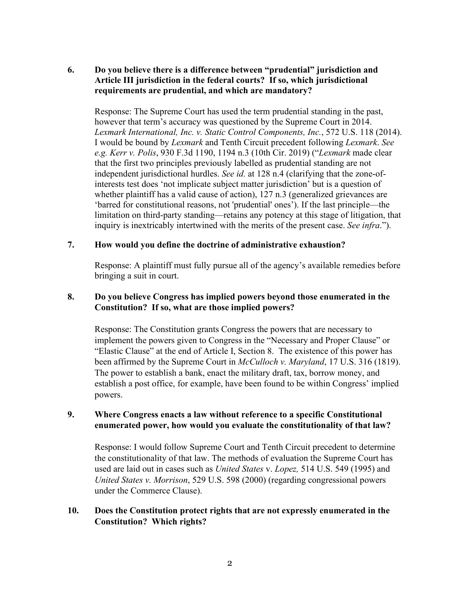# **6. Do you believe there is a difference between "prudential" jurisdiction and Article III jurisdiction in the federal courts? If so, which jurisdictional requirements are prudential, and which are mandatory?**

Response: The Supreme Court has used the term prudential standing in the past, however that term's accuracy was questioned by the Supreme Court in 2014. *Lexmark International, Inc. v. Static Control Components, Inc.*, 572 U.S. 118 (2014). I would be bound by *Lexmark* and Tenth Circuit precedent following *Lexmark*. *See e.g. Kerr v. Polis*, 930 F.3d 1190, 1194 n.3 (10th Cir. 2019) ("*Lexmark* made clear that the first two principles previously labelled as prudential standing are not independent jurisdictional hurdles. *See id.* at 128 n.4 (clarifying that the zone-ofinterests test does 'not implicate subject matter jurisdiction' but is a question of whether plaintiff has a valid cause of action), 127 n.3 (generalized grievances are 'barred for constitutional reasons, not 'prudential' ones'). If the last principle—the limitation on third-party standing—retains any potency at this stage of litigation, that inquiry is inextricably intertwined with the merits of the present case. *See infra*.").

### **7. How would you define the doctrine of administrative exhaustion?**

Response: A plaintiff must fully pursue all of the agency's available remedies before bringing a suit in court.

# **8. Do you believe Congress has implied powers beyond those enumerated in the Constitution? If so, what are those implied powers?**

Response: The Constitution grants Congress the powers that are necessary to implement the powers given to Congress in the "Necessary and Proper Clause" or "Elastic Clause" at the end of Article I, Section 8. The existence of this power has been affirmed by the Supreme Court in *McCulloch v. Maryland*, 17 U.S. 316 (1819). The power to establish a bank, enact the military draft, tax, borrow money, and establish a post office, for example, have been found to be within Congress' implied powers.

# **9. Where Congress enacts a law without reference to a specific Constitutional enumerated power, how would you evaluate the constitutionality of that law?**

Response: I would follow Supreme Court and Tenth Circuit precedent to determine the constitutionality of that law. The methods of evaluation the Supreme Court has used are laid out in cases such as *United States* v. *Lopez,* 514 U.S. 549 (1995) and *United States v. Morrison*, 529 U.S. 598 (2000) (regarding congressional powers under the Commerce Clause).

# **10. Does the Constitution protect rights that are not expressly enumerated in the Constitution? Which rights?**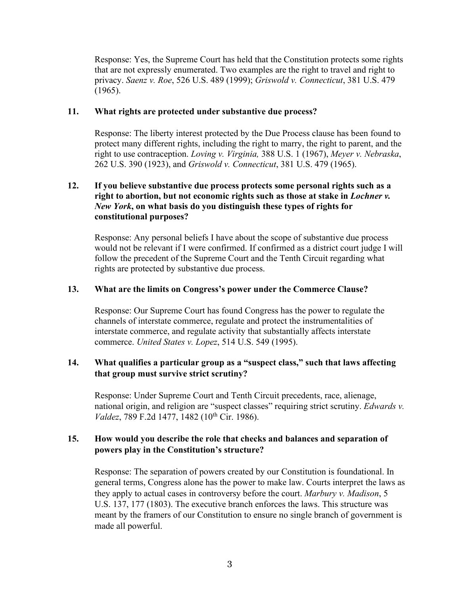Response: Yes, the Supreme Court has held that the Constitution protects some rights that are not expressly enumerated. Two examples are the right to travel and right to privacy. *Saenz v. Roe*, 526 U.S. 489 (1999); *Griswold v. Connecticut*, 381 U.S. 479 (1965).

### **11. What rights are protected under substantive due process?**

Response: The liberty interest protected by the Due Process clause has been found to protect many different rights, including the right to marry, the right to parent, and the right to use contraception. *Loving v. Virginia,* 388 U.S. 1 (1967), *Meyer v. Nebraska*, 262 U.S. 390 (1923), and *Griswold v. Connecticut*, 381 U.S. 479 (1965).

### **12. If you believe substantive due process protects some personal rights such as a right to abortion, but not economic rights such as those at stake in** *Lochner v. New York***, on what basis do you distinguish these types of rights for constitutional purposes?**

Response: Any personal beliefs I have about the scope of substantive due process would not be relevant if I were confirmed. If confirmed as a district court judge I will follow the precedent of the Supreme Court and the Tenth Circuit regarding what rights are protected by substantive due process.

### **13. What are the limits on Congress's power under the Commerce Clause?**

Response: Our Supreme Court has found Congress has the power to regulate the channels of interstate commerce, regulate and protect the instrumentalities of interstate commerce, and regulate activity that substantially affects interstate commerce. *United States v. Lopez*, 514 U.S. 549 (1995).

# **14. What qualifies a particular group as a "suspect class," such that laws affecting that group must survive strict scrutiny?**

Response: Under Supreme Court and Tenth Circuit precedents, race, alienage, national origin, and religion are "suspect classes" requiring strict scrutiny. *Edwards v. Valdez*, 789 F.2d 1477, 1482 (10<sup>th</sup> Cir. 1986).

# **15. How would you describe the role that checks and balances and separation of powers play in the Constitution's structure?**

Response: The separation of powers created by our Constitution is foundational. In general terms, Congress alone has the power to make law. Courts interpret the laws as they apply to actual cases in controversy before the court. *Marbury v. Madison*, 5 U.S. 137, 177 (1803). The executive branch enforces the laws. This structure was meant by the framers of our Constitution to ensure no single branch of government is made all powerful.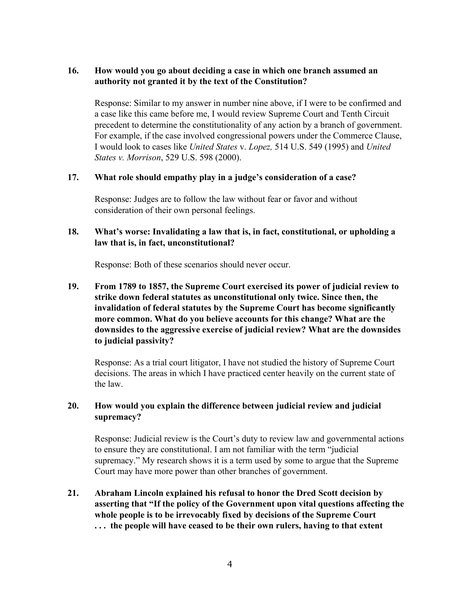# **16. How would you go about deciding a case in which one branch assumed an authority not granted it by the text of the Constitution?**

Response: Similar to my answer in number nine above, if I were to be confirmed and a case like this came before me, I would review Supreme Court and Tenth Circuit precedent to determine the constitutionality of any action by a branch of government. For example, if the case involved congressional powers under the Commerce Clause, I would look to cases like *United States* v. *Lopez,* 514 U.S. 549 (1995) and *United States v. Morrison*, 529 U.S. 598 (2000).

### **17. What role should empathy play in a judge's consideration of a case?**

Response: Judges are to follow the law without fear or favor and without consideration of their own personal feelings.

# **18. What's worse: Invalidating a law that is, in fact, constitutional, or upholding a law that is, in fact, unconstitutional?**

Response: Both of these scenarios should never occur.

**19. From 1789 to 1857, the Supreme Court exercised its power of judicial review to strike down federal statutes as unconstitutional only twice. Since then, the invalidation of federal statutes by the Supreme Court has become significantly more common. What do you believe accounts for this change? What are the downsides to the aggressive exercise of judicial review? What are the downsides to judicial passivity?** 

Response: As a trial court litigator, I have not studied the history of Supreme Court decisions. The areas in which I have practiced center heavily on the current state of the law.

# **20. How would you explain the difference between judicial review and judicial supremacy?**

Response: Judicial review is the Court's duty to review law and governmental actions to ensure they are constitutional. I am not familiar with the term "judicial supremacy." My research shows it is a term used by some to argue that the Supreme Court may have more power than other branches of government.

**21. Abraham Lincoln explained his refusal to honor the Dred Scott decision by asserting that "If the policy of the Government upon vital questions affecting the whole people is to be irrevocably fixed by decisions of the Supreme Court . . . the people will have ceased to be their own rulers, having to that extent**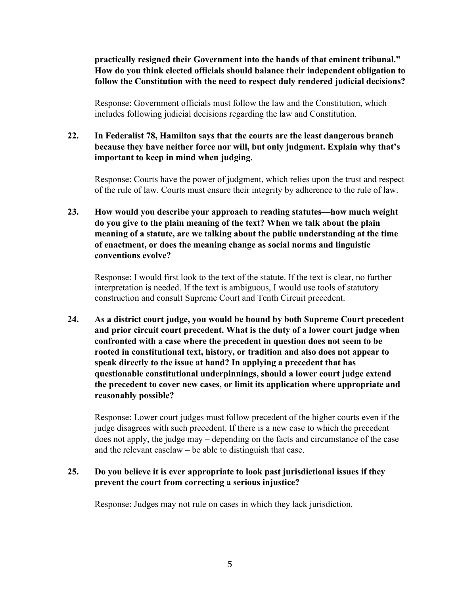**practically resigned their Government into the hands of that eminent tribunal." How do you think elected officials should balance their independent obligation to follow the Constitution with the need to respect duly rendered judicial decisions?** 

Response: Government officials must follow the law and the Constitution, which includes following judicial decisions regarding the law and Constitution.

# **22. In Federalist 78, Hamilton says that the courts are the least dangerous branch because they have neither force nor will, but only judgment. Explain why that's important to keep in mind when judging.**

Response: Courts have the power of judgment, which relies upon the trust and respect of the rule of law. Courts must ensure their integrity by adherence to the rule of law.

**23. How would you describe your approach to reading statutes—how much weight do you give to the plain meaning of the text? When we talk about the plain meaning of a statute, are we talking about the public understanding at the time of enactment, or does the meaning change as social norms and linguistic conventions evolve?** 

Response: I would first look to the text of the statute. If the text is clear, no further interpretation is needed. If the text is ambiguous, I would use tools of statutory construction and consult Supreme Court and Tenth Circuit precedent.

**24. As a district court judge, you would be bound by both Supreme Court precedent and prior circuit court precedent. What is the duty of a lower court judge when confronted with a case where the precedent in question does not seem to be rooted in constitutional text, history, or tradition and also does not appear to speak directly to the issue at hand? In applying a precedent that has questionable constitutional underpinnings, should a lower court judge extend the precedent to cover new cases, or limit its application where appropriate and reasonably possible?**

Response: Lower court judges must follow precedent of the higher courts even if the judge disagrees with such precedent. If there is a new case to which the precedent does not apply, the judge may – depending on the facts and circumstance of the case and the relevant caselaw – be able to distinguish that case.

# **25. Do you believe it is ever appropriate to look past jurisdictional issues if they prevent the court from correcting a serious injustice?**

Response: Judges may not rule on cases in which they lack jurisdiction.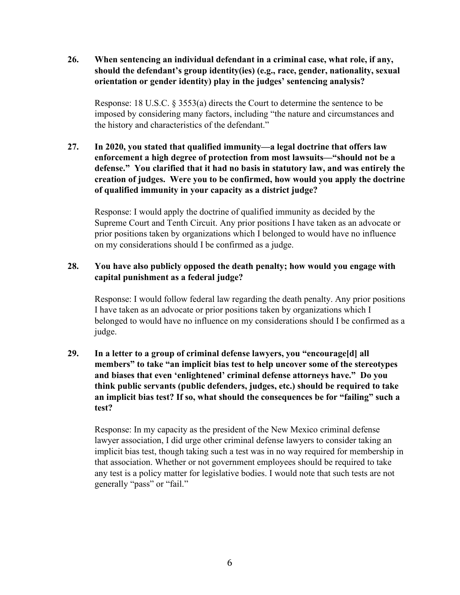**26. When sentencing an individual defendant in a criminal case, what role, if any, should the defendant's group identity(ies) (e.g., race, gender, nationality, sexual orientation or gender identity) play in the judges' sentencing analysis?**

Response: 18 U.S.C. § 3553(a) directs the Court to determine the sentence to be imposed by considering many factors, including "the nature and circumstances and the history and characteristics of the defendant."

**27. In 2020, you stated that qualified immunity—a legal doctrine that offers law enforcement a high degree of protection from most lawsuits—"should not be a defense." You clarified that it had no basis in statutory law, and was entirely the creation of judges. Were you to be confirmed, how would you apply the doctrine of qualified immunity in your capacity as a district judge?** 

Response: I would apply the doctrine of qualified immunity as decided by the Supreme Court and Tenth Circuit. Any prior positions I have taken as an advocate or prior positions taken by organizations which I belonged to would have no influence on my considerations should I be confirmed as a judge.

# **28. You have also publicly opposed the death penalty; how would you engage with capital punishment as a federal judge?**

Response: I would follow federal law regarding the death penalty. Any prior positions I have taken as an advocate or prior positions taken by organizations which I belonged to would have no influence on my considerations should I be confirmed as a judge.

**29. In a letter to a group of criminal defense lawyers, you "encourage[d] all members" to take "an implicit bias test to help uncover some of the stereotypes and biases that even 'enlightened' criminal defense attorneys have." Do you think public servants (public defenders, judges, etc.) should be required to take an implicit bias test? If so, what should the consequences be for "failing" such a test?** 

Response: In my capacity as the president of the New Mexico criminal defense lawyer association, I did urge other criminal defense lawyers to consider taking an implicit bias test, though taking such a test was in no way required for membership in that association. Whether or not government employees should be required to take any test is a policy matter for legislative bodies. I would note that such tests are not generally "pass" or "fail."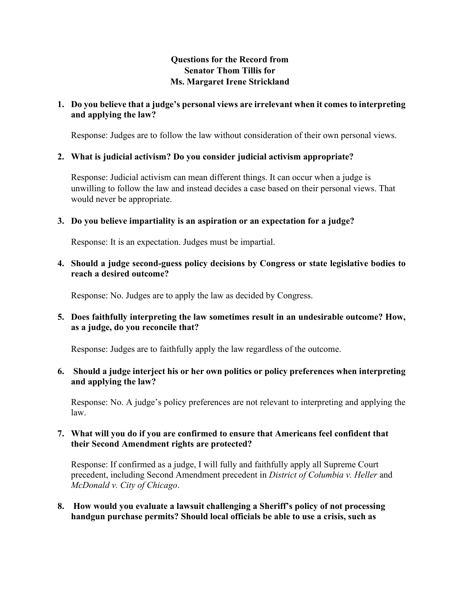# **Questions for the Record from Senator Thom Tillis for Ms. Margaret Irene Strickland**

# **1. Do you believe that a judge's personal views are irrelevant when it comes to interpreting and applying the law?**

Response: Judges are to follow the law without consideration of their own personal views.

# **2. What is judicial activism? Do you consider judicial activism appropriate?**

Response: Judicial activism can mean different things. It can occur when a judge is unwilling to follow the law and instead decides a case based on their personal views. That would never be appropriate.

# **3. Do you believe impartiality is an aspiration or an expectation for a judge?**

Response: It is an expectation. Judges must be impartial.

**4. Should a judge second-guess policy decisions by Congress or state legislative bodies to reach a desired outcome?** 

Response: No. Judges are to apply the law as decided by Congress.

**5. Does faithfully interpreting the law sometimes result in an undesirable outcome? How, as a judge, do you reconcile that?**

Response: Judges are to faithfully apply the law regardless of the outcome.

**6. Should a judge interject his or her own politics or policy preferences when interpreting and applying the law?** 

Response: No. A judge's policy preferences are not relevant to interpreting and applying the law.

### **7. What will you do if you are confirmed to ensure that Americans feel confident that their Second Amendment rights are protected?**

Response: If confirmed as a judge, I will fully and faithfully apply all Supreme Court precedent, including Second Amendment precedent in *District of Columbia v. Heller* and *McDonald v. City of Chicago*.

**8. How would you evaluate a lawsuit challenging a Sheriff's policy of not processing handgun purchase permits? Should local officials be able to use a crisis, such as**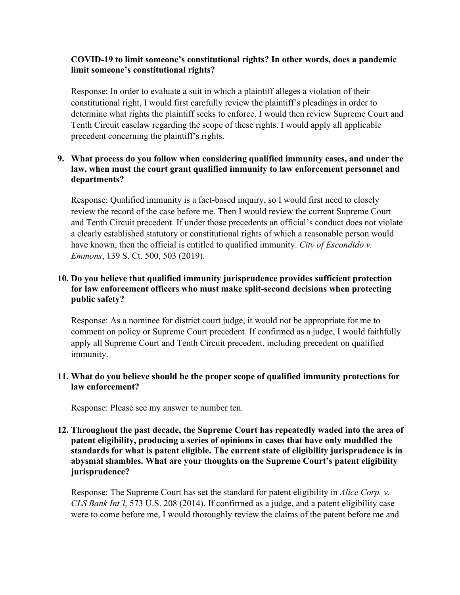# **COVID-19 to limit someone's constitutional rights? In other words, does a pandemic limit someone's constitutional rights?**

Response: In order to evaluate a suit in which a plaintiff alleges a violation of their constitutional right, I would first carefully review the plaintiff's pleadings in order to determine what rights the plaintiff seeks to enforce. I would then review Supreme Court and Tenth Circuit caselaw regarding the scope of these rights. I would apply all applicable precedent concerning the plaintiff's rights.

# **9. What process do you follow when considering qualified immunity cases, and under the law, when must the court grant qualified immunity to law enforcement personnel and departments?**

Response: Qualified immunity is a fact-based inquiry, so I would first need to closely review the record of the case before me. Then I would review the current Supreme Court and Tenth Circuit precedent. If under those precedents an official's conduct does not violate a clearly established statutory or constitutional rights of which a reasonable person would have known, then the official is entitled to qualified immunity. *City of Escondido v. Emmons*, 139 S. Ct. 500, 503 (2019).

# **10. Do you believe that qualified immunity jurisprudence provides sufficient protection for law enforcement officers who must make split-second decisions when protecting public safety?**

Response: As a nominee for district court judge, it would not be appropriate for me to comment on policy or Supreme Court precedent. If confirmed as a judge, I would faithfully apply all Supreme Court and Tenth Circuit precedent, including precedent on qualified immunity.

### **11. What do you believe should be the proper scope of qualified immunity protections for law enforcement?**

Response: Please see my answer to number ten.

# **12. Throughout the past decade, the Supreme Court has repeatedly waded into the area of patent eligibility, producing a series of opinions in cases that have only muddled the standards for what is patent eligible. The current state of eligibility jurisprudence is in abysmal shambles. What are your thoughts on the Supreme Court's patent eligibility jurisprudence?**

Response: The Supreme Court has set the standard for patent eligibility in *Alice Corp. v. CLS Bank Int'l*, 573 U.S. 208 (2014). If confirmed as a judge, and a patent eligibility case were to come before me, I would thoroughly review the claims of the patent before me and